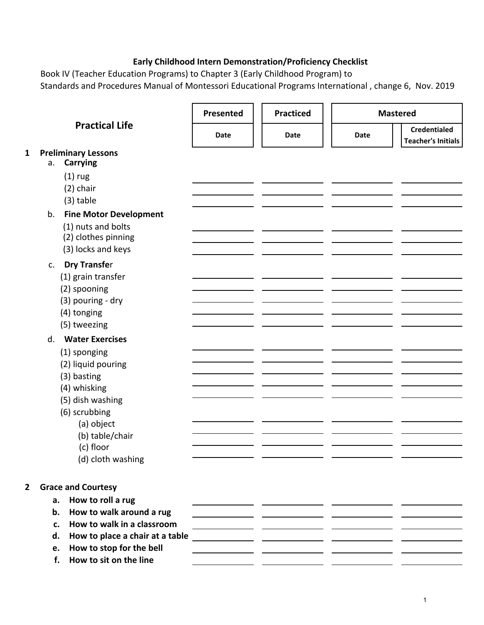## **Early Childhood Intern Demonstration/Proficiency Checklist**

Book IV (Teacher Education Programs) to Chapter 3 (Early Childhood Program) to Standards and Procedures Manual of Montessori Educational Programs International , change 6, Nov. 2019

|                | <b>Practical Life</b>                 | Presented | <b>Practiced</b>                                             |      | <b>Mastered</b>                                  |
|----------------|---------------------------------------|-----------|--------------------------------------------------------------|------|--------------------------------------------------|
|                |                                       | Date      | Date                                                         | Date | <b>Credentialed</b><br><b>Teacher's Initials</b> |
| $\mathbf{1}$   | <b>Preliminary Lessons</b>            |           |                                                              |      |                                                  |
|                | <b>Carrying</b><br>a.                 |           |                                                              |      |                                                  |
|                | $(1)$ rug                             |           |                                                              |      |                                                  |
|                | $(2)$ chair                           |           |                                                              |      |                                                  |
|                | $(3)$ table                           |           |                                                              |      |                                                  |
|                | <b>Fine Motor Development</b><br>b.   |           |                                                              |      |                                                  |
|                | (1) nuts and bolts                    |           |                                                              |      |                                                  |
|                | (2) clothes pinning                   |           |                                                              |      |                                                  |
|                | (3) locks and keys                    |           |                                                              |      |                                                  |
|                | <b>Dry Transfer</b><br>c.             |           |                                                              |      |                                                  |
|                | (1) grain transfer                    |           |                                                              |      |                                                  |
|                | (2) spooning                          |           |                                                              |      |                                                  |
|                | (3) pouring - dry                     |           |                                                              |      |                                                  |
|                | (4) tonging                           |           |                                                              |      |                                                  |
|                | (5) tweezing                          |           |                                                              |      |                                                  |
|                | <b>Water Exercises</b><br>d.          |           |                                                              |      |                                                  |
|                | (1) sponging                          |           |                                                              |      |                                                  |
|                | (2) liquid pouring                    |           |                                                              |      |                                                  |
|                | (3) basting                           |           |                                                              |      |                                                  |
|                | (4) whisking                          |           |                                                              |      |                                                  |
|                | (5) dish washing                      |           |                                                              |      |                                                  |
|                | (6) scrubbing                         |           |                                                              |      |                                                  |
|                | (a) object                            |           |                                                              |      |                                                  |
|                | (b) table/chair                       |           |                                                              |      |                                                  |
|                | (c) floor                             |           |                                                              |      |                                                  |
|                | (d) cloth washing                     |           |                                                              |      |                                                  |
|                |                                       |           |                                                              |      |                                                  |
| $\overline{2}$ | <b>Grace and Courtesy</b>             |           |                                                              |      |                                                  |
|                | How to roll a rug<br>a.               |           |                                                              |      |                                                  |
|                | How to walk around a rug<br>b.        |           | <u> 1980 - John Stone, amerikansk politiker (</u>            |      |                                                  |
|                | How to walk in a classroom<br>c.      |           | <u> 1989 - Andrea Sterne, amerikansk politiker (d. 1989)</u> |      |                                                  |
|                | How to place a chair at a table<br>d. |           |                                                              |      |                                                  |
|                | How to stop for the bell<br>e.        |           |                                                              |      |                                                  |
|                | How to sit on the line<br>f.          |           |                                                              |      |                                                  |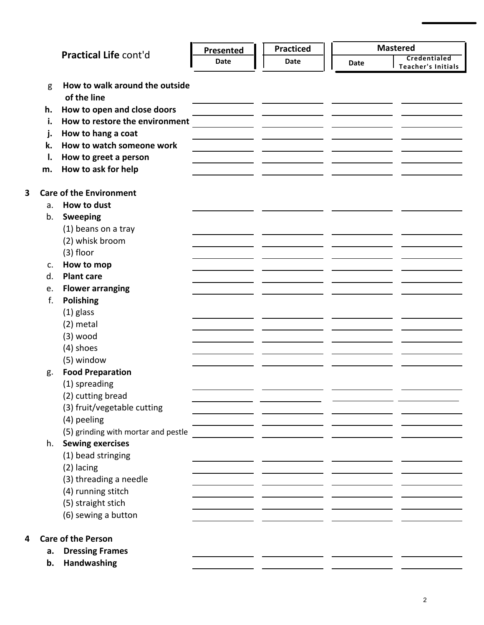|   |    |                                     | Presented | <b>Practiced</b> |             | <b>Mastered</b>           |
|---|----|-------------------------------------|-----------|------------------|-------------|---------------------------|
|   |    | Practical Life cont'd               | Date      | Date             | <b>Date</b> | Credentialed              |
|   |    |                                     |           |                  |             | <b>Teacher's Initials</b> |
|   | g  | How to walk around the outside      |           |                  |             |                           |
|   |    | of the line                         |           |                  |             |                           |
|   | h. | How to open and close doors         |           |                  |             |                           |
|   | i. | How to restore the environment      |           |                  |             |                           |
|   | j. | How to hang a coat                  |           |                  |             |                           |
|   | k. | How to watch someone work           |           |                  |             |                           |
|   | ı. | How to greet a person               |           |                  |             |                           |
|   | m. | How to ask for help                 |           |                  |             |                           |
| 3 |    | <b>Care of the Environment</b>      |           |                  |             |                           |
|   | a. | How to dust                         |           |                  |             |                           |
|   | b. | <b>Sweeping</b>                     |           |                  |             |                           |
|   |    | (1) beans on a tray                 |           |                  |             |                           |
|   |    | (2) whisk broom                     |           |                  |             |                           |
|   |    | $(3)$ floor                         |           |                  |             |                           |
|   | C. | How to mop                          |           |                  |             |                           |
|   | d. | <b>Plant care</b>                   |           |                  |             |                           |
|   | e. | <b>Flower arranging</b>             |           |                  |             |                           |
|   | f. | <b>Polishing</b>                    |           |                  |             |                           |
|   |    | $(1)$ glass                         |           |                  |             |                           |
|   |    | $(2)$ metal                         |           |                  |             |                           |
|   |    | $(3)$ wood                          |           |                  |             |                           |
|   |    | (4) shoes                           |           |                  |             |                           |
|   |    | (5) window                          |           |                  |             |                           |
|   | g. | <b>Food Preparation</b>             |           |                  |             |                           |
|   |    | (1) spreading                       |           |                  |             |                           |
|   |    | (2) cutting bread                   |           |                  |             |                           |
|   |    | (3) fruit/vegetable cutting         |           |                  |             |                           |
|   |    | (4) peeling                         |           |                  |             |                           |
|   |    | (5) grinding with mortar and pestle |           |                  |             |                           |
|   | h. | <b>Sewing exercises</b>             |           |                  |             |                           |
|   |    | (1) bead stringing                  |           |                  |             |                           |
|   |    | (2) lacing                          |           |                  |             |                           |
|   |    | (3) threading a needle              |           |                  |             |                           |
|   |    | (4) running stitch                  |           |                  |             |                           |
|   |    | (5) straight stich                  |           |                  |             |                           |
|   |    | (6) sewing a button                 |           |                  |             |                           |
| 4 |    | <b>Care of the Person</b>           |           |                  |             |                           |
|   | a. | <b>Dressing Frames</b>              |           |                  |             |                           |
|   | b. | Handwashing                         |           |                  |             |                           |

**3**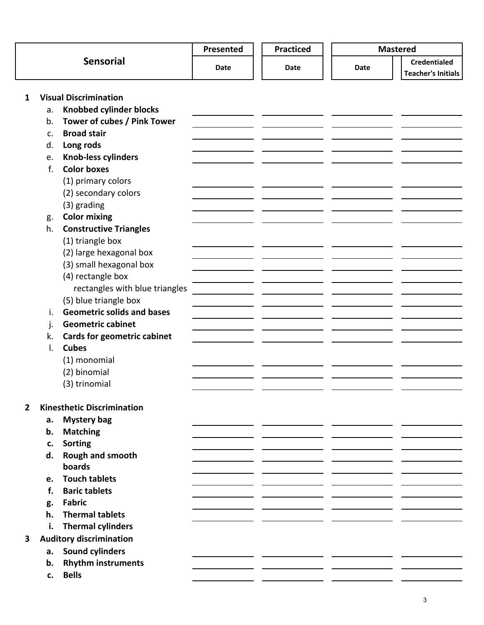|                  |               | <b>Practiced</b><br>Presented      |      | <b>Mastered</b> |                           |  |
|------------------|---------------|------------------------------------|------|-----------------|---------------------------|--|
| <b>Sensorial</b> |               | Date                               | Date | <b>Date</b>     | <b>Credentialed</b>       |  |
|                  |               |                                    |      |                 | <b>Teacher's Initials</b> |  |
|                  |               |                                    |      |                 |                           |  |
| 1                |               | <b>Visual Discrimination</b>       |      |                 |                           |  |
|                  | a.            | <b>Knobbed cylinder blocks</b>     |      |                 |                           |  |
|                  | b.            | Tower of cubes / Pink Tower        |      |                 |                           |  |
|                  | $C_{\bullet}$ | <b>Broad stair</b>                 |      |                 |                           |  |
|                  | d.            | Long rods                          |      |                 |                           |  |
|                  | e.            | <b>Knob-less cylinders</b>         |      |                 |                           |  |
|                  | $f_{\cdot}$   | <b>Color boxes</b>                 |      |                 |                           |  |
|                  |               | (1) primary colors                 |      |                 |                           |  |
|                  |               | (2) secondary colors               |      |                 |                           |  |
|                  |               | (3) grading                        |      |                 |                           |  |
|                  | g.            | <b>Color mixing</b>                |      |                 |                           |  |
|                  | h.            | <b>Constructive Triangles</b>      |      |                 |                           |  |
|                  |               | (1) triangle box                   |      |                 |                           |  |
|                  |               | (2) large hexagonal box            |      |                 |                           |  |
|                  |               | (3) small hexagonal box            |      |                 |                           |  |
|                  |               | (4) rectangle box                  |      |                 |                           |  |
|                  |               | rectangles with blue triangles     |      |                 |                           |  |
|                  |               | (5) blue triangle box              |      |                 |                           |  |
|                  | i.            | <b>Geometric solids and bases</b>  |      |                 |                           |  |
|                  | j.            | <b>Geometric cabinet</b>           |      |                 |                           |  |
|                  | k.            | <b>Cards for geometric cabinet</b> |      |                 |                           |  |
|                  | I.            | <b>Cubes</b>                       |      |                 |                           |  |
|                  |               | (1) monomial                       |      |                 |                           |  |
|                  |               | (2) binomial                       |      |                 |                           |  |
|                  |               | (3) trinomial                      |      |                 |                           |  |
|                  |               |                                    |      |                 |                           |  |
| $\overline{2}$   |               | <b>Kinesthetic Discrimination</b>  |      |                 |                           |  |
|                  | а.            | <b>Mystery bag</b>                 |      |                 |                           |  |
|                  | b.            | <b>Matching</b>                    |      |                 |                           |  |
|                  | c.            | <b>Sorting</b>                     |      |                 |                           |  |
|                  | d.            | Rough and smooth                   |      |                 |                           |  |
|                  |               | boards                             |      |                 |                           |  |
|                  | e.            | <b>Touch tablets</b>               |      |                 |                           |  |
|                  | f.            | <b>Baric tablets</b>               |      |                 |                           |  |
|                  | g.            | <b>Fabric</b>                      |      |                 |                           |  |
|                  | h.            | <b>Thermal tablets</b>             |      |                 |                           |  |
|                  | i.            | <b>Thermal cylinders</b>           |      |                 |                           |  |
| 3                |               | <b>Auditory discrimination</b>     |      |                 |                           |  |
|                  | a.            | <b>Sound cylinders</b>             |      |                 |                           |  |
|                  | b.            | <b>Rhythm instruments</b>          |      |                 |                           |  |
|                  | c.            | <b>Bells</b>                       |      |                 |                           |  |
|                  |               |                                    |      |                 |                           |  |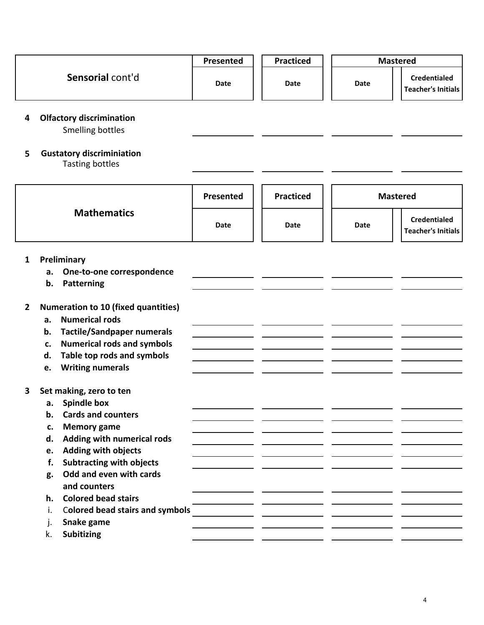|                |                                                                                                                                                                                                                                                                                                                                                                                                     | Presented                       | <b>Practiced</b> |      | <b>Mastered</b>                                  |
|----------------|-----------------------------------------------------------------------------------------------------------------------------------------------------------------------------------------------------------------------------------------------------------------------------------------------------------------------------------------------------------------------------------------------------|---------------------------------|------------------|------|--------------------------------------------------|
|                | Sensorial cont'd                                                                                                                                                                                                                                                                                                                                                                                    | Date                            | Date             | Date | <b>Credentialed</b><br><b>Teacher's Initials</b> |
| 4              | <b>Olfactory discrimination</b><br>Smelling bottles                                                                                                                                                                                                                                                                                                                                                 |                                 |                  |      |                                                  |
| 5              | <b>Gustatory discriminiation</b><br><b>Tasting bottles</b>                                                                                                                                                                                                                                                                                                                                          |                                 |                  |      |                                                  |
|                |                                                                                                                                                                                                                                                                                                                                                                                                     | Presented                       | <b>Practiced</b> |      | <b>Mastered</b>                                  |
|                | <b>Mathematics</b>                                                                                                                                                                                                                                                                                                                                                                                  | Date                            | Date             | Date | <b>Credentialed</b><br><b>Teacher's Initials</b> |
| $\mathbf{1}$   | Preliminary<br>One-to-one correspondence<br>a.<br>Patterning<br>b.                                                                                                                                                                                                                                                                                                                                  |                                 |                  |      |                                                  |
| $\overline{2}$ | <b>Numeration to 10 (fixed quantities)</b><br><b>Numerical rods</b><br>a.<br><b>Tactile/Sandpaper numerals</b><br>b.<br><b>Numerical rods and symbols</b><br>c.<br>Table top rods and symbols<br>d.<br><b>Writing numerals</b><br>e.                                                                                                                                                                |                                 |                  |      |                                                  |
| 3              | Set making, zero to ten<br><b>Spindle box</b><br>а.<br><b>Cards and counters</b><br>b.<br><b>Memory game</b><br>c.<br><b>Adding with numerical rods</b><br>d.<br><b>Adding with objects</b><br>e.<br><b>Subtracting with objects</b><br>f.<br>Odd and even with cards<br>g.<br>and counters<br><b>Colored bead stairs</b><br>h.<br><b>Colored bead stairs and symbols</b><br>i.<br>Snake game<br>j. | <u> 1990 - Jan Alexandria (</u> |                  |      |                                                  |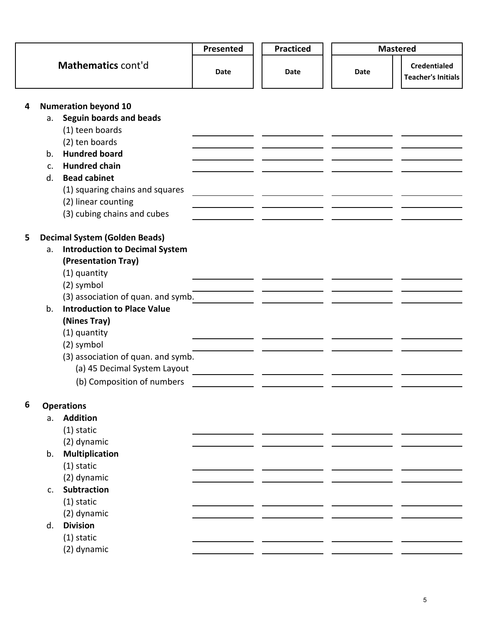|   |                |                                       | Presented | <b>Practiced</b> | <b>Mastered</b> |                                                  |
|---|----------------|---------------------------------------|-----------|------------------|-----------------|--------------------------------------------------|
|   |                | Mathematics cont'd                    | Date      | Date             | Date            | <b>Credentialed</b><br><b>Teacher's Initials</b> |
| 4 |                | <b>Numeration beyond 10</b>           |           |                  |                 |                                                  |
|   | a.             | Seguin boards and beads               |           |                  |                 |                                                  |
|   |                | (1) teen boards                       |           |                  |                 |                                                  |
|   |                | (2) ten boards                        |           |                  |                 |                                                  |
|   | b.             | <b>Hundred board</b>                  |           |                  |                 |                                                  |
|   | C <sub>1</sub> | <b>Hundred chain</b>                  |           |                  |                 |                                                  |
|   | d.             | <b>Bead cabinet</b>                   |           |                  |                 |                                                  |
|   |                | (1) squaring chains and squares       |           |                  |                 |                                                  |
|   |                | (2) linear counting                   |           |                  |                 |                                                  |
|   |                | (3) cubing chains and cubes           |           |                  |                 |                                                  |
| 5 |                | <b>Decimal System (Golden Beads)</b>  |           |                  |                 |                                                  |
|   | a.             | <b>Introduction to Decimal System</b> |           |                  |                 |                                                  |
|   |                | (Presentation Tray)                   |           |                  |                 |                                                  |
|   |                | (1) quantity                          |           |                  |                 |                                                  |
|   |                | (2) symbol                            |           |                  |                 |                                                  |
|   |                | (3) association of quan. and symb.    |           |                  |                 |                                                  |
|   | b.             | <b>Introduction to Place Value</b>    |           |                  |                 |                                                  |
|   |                | (Nines Tray)                          |           |                  |                 |                                                  |
|   |                | (1) quantity                          |           |                  |                 |                                                  |
|   |                | (2) symbol                            |           |                  |                 |                                                  |
|   |                | (3) association of quan. and symb.    |           |                  |                 |                                                  |
|   |                | (a) 45 Decimal System Layout          |           |                  |                 |                                                  |
|   |                | (b) Composition of numbers            |           |                  |                 |                                                  |
| 6 |                | <b>Operations</b>                     |           |                  |                 |                                                  |
|   | a.             | <b>Addition</b>                       |           |                  |                 |                                                  |
|   |                | $(1)$ static                          |           |                  |                 |                                                  |
|   |                | (2) dynamic                           |           |                  |                 |                                                  |
|   | b.             | <b>Multiplication</b>                 |           |                  |                 |                                                  |
|   |                | $(1)$ static                          |           |                  |                 |                                                  |
|   |                | (2) dynamic                           |           |                  |                 |                                                  |
|   | $C_{\bullet}$  | <b>Subtraction</b>                    |           |                  |                 |                                                  |
|   |                | $(1)$ static                          |           |                  |                 |                                                  |
|   |                | (2) dynamic                           |           |                  |                 |                                                  |
|   | d.             | <b>Division</b>                       |           |                  |                 |                                                  |
|   |                | $(1)$ static                          |           |                  |                 |                                                  |
|   |                | (2) dynamic                           |           |                  |                 |                                                  |
|   |                |                                       |           |                  |                 |                                                  |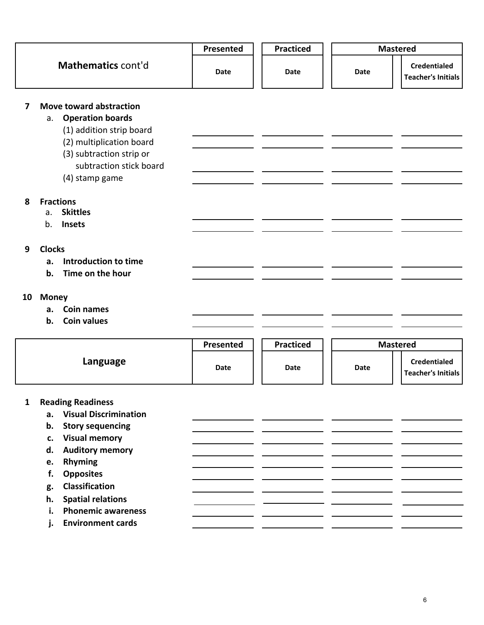|              |                                                                                                                                                                                                                                                                                                                                                | Presented | <b>Practiced</b> |                                                          |
|--------------|------------------------------------------------------------------------------------------------------------------------------------------------------------------------------------------------------------------------------------------------------------------------------------------------------------------------------------------------|-----------|------------------|----------------------------------------------------------|
|              | Mathematics cont'd                                                                                                                                                                                                                                                                                                                             | Date      | Date             | <b>Credentialed</b><br>Date<br><b>Teacher's Initials</b> |
| 7            | Move toward abstraction<br><b>Operation boards</b><br>a.<br>(1) addition strip board<br>(2) multiplication board<br>(3) subtraction strip or<br>subtraction stick board<br>(4) stamp game                                                                                                                                                      |           |                  |                                                          |
| 8            | <b>Fractions</b><br><b>Skittles</b><br>a.<br>b.<br>Insets                                                                                                                                                                                                                                                                                      |           |                  |                                                          |
| 9            | <b>Clocks</b><br>Introduction to time<br>a.<br>Time on the hour<br>b.                                                                                                                                                                                                                                                                          |           |                  |                                                          |
| 10           | <b>Money</b><br><b>Coin names</b><br>a.<br><b>Coin values</b><br>b.                                                                                                                                                                                                                                                                            |           |                  |                                                          |
|              |                                                                                                                                                                                                                                                                                                                                                | Presented | <b>Practiced</b> | <b>Mastered</b>                                          |
|              | Language                                                                                                                                                                                                                                                                                                                                       | Date      | Date             | <b>Credentialed</b><br>Date<br><b>Teacher's Initials</b> |
| $\mathbf{1}$ | <b>Reading Readiness</b><br><b>Visual Discrimination</b><br>a.<br><b>Story sequencing</b><br>b.<br><b>Visual memory</b><br>c.<br><b>Auditory memory</b><br>d.<br>Rhyming<br>e.<br><b>Opposites</b><br>f.<br><b>Classification</b><br>g.<br><b>Spatial relations</b><br>h.<br><b>Phonemic awareness</b><br>i.<br><b>Environment cards</b><br>j. |           |                  |                                                          |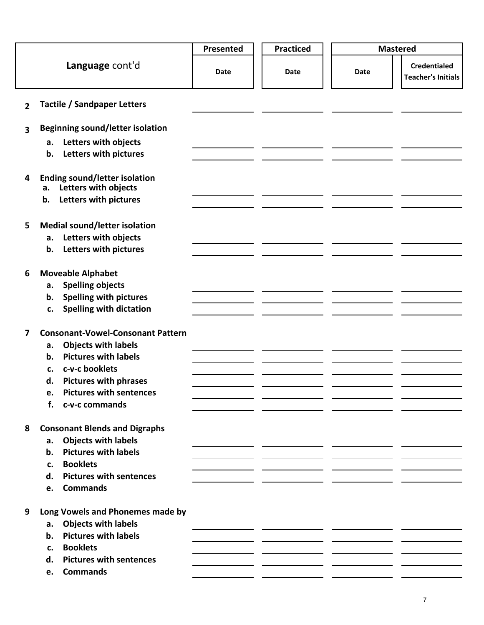|                         |                                                                                                                                                                                                                                              | Presented | <b>Practiced</b> | <b>Mastered</b> |                                                  |
|-------------------------|----------------------------------------------------------------------------------------------------------------------------------------------------------------------------------------------------------------------------------------------|-----------|------------------|-----------------|--------------------------------------------------|
|                         | Language cont'd                                                                                                                                                                                                                              | Date      | Date             | Date            | <b>Credentialed</b><br><b>Teacher's Initials</b> |
| $\overline{2}$          | <b>Tactile / Sandpaper Letters</b>                                                                                                                                                                                                           |           |                  |                 |                                                  |
| $\overline{\mathbf{3}}$ | <b>Beginning sound/letter isolation</b>                                                                                                                                                                                                      |           |                  |                 |                                                  |
|                         | Letters with objects<br>а.<br>Letters with pictures<br>b.                                                                                                                                                                                    |           |                  |                 |                                                  |
| 4                       | <b>Ending sound/letter isolation</b><br>Letters with objects<br>а.<br>Letters with pictures<br>b.                                                                                                                                            |           |                  |                 |                                                  |
| 5                       | <b>Medial sound/letter isolation</b><br>Letters with objects<br>a.<br>Letters with pictures<br>b.                                                                                                                                            |           |                  |                 |                                                  |
| 6                       | <b>Moveable Alphabet</b><br><b>Spelling objects</b><br>a.<br><b>Spelling with pictures</b><br>b.<br><b>Spelling with dictation</b><br>c.                                                                                                     |           |                  |                 |                                                  |
| 7                       | <b>Consonant-Vowel-Consonant Pattern</b><br><b>Objects with labels</b><br>a.<br><b>Pictures with labels</b><br>b.<br>c-v-c booklets<br>c.<br><b>Pictures with phrases</b><br>d.<br><b>Pictures with sentences</b><br>e.<br>f. c-v-c commands |           |                  |                 |                                                  |
| 8                       | <b>Consonant Blends and Digraphs</b><br><b>Objects with labels</b><br>a.<br><b>Pictures with labels</b><br>b.<br><b>Booklets</b><br>c.<br><b>Pictures with sentences</b><br>d.<br><b>Commands</b><br>e.                                      |           |                  |                 |                                                  |
| 9                       | Long Vowels and Phonemes made by<br><b>Objects with labels</b><br>a.<br><b>Pictures with labels</b><br>b.<br><b>Booklets</b><br>c.<br><b>Pictures with sentences</b><br>d.<br><b>Commands</b><br>e.                                          |           |                  |                 |                                                  |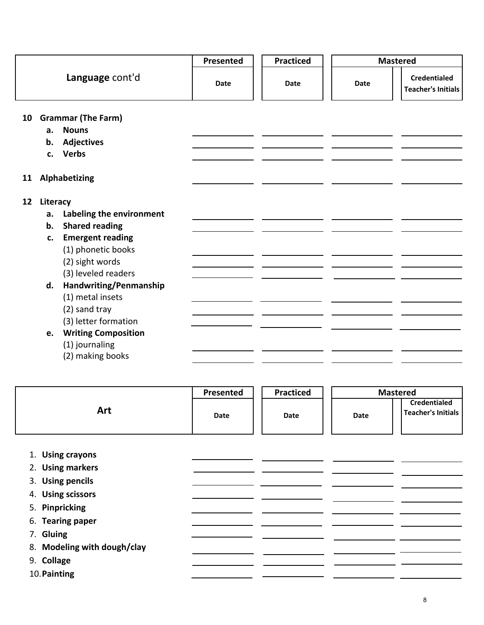|    |          |                             | Presented   | <b>Practiced</b> | <b>Mastered</b> |                                                  |
|----|----------|-----------------------------|-------------|------------------|-----------------|--------------------------------------------------|
|    |          | Language cont'd             | <b>Date</b> | <b>Date</b>      | <b>Date</b>     | <b>Credentialed</b><br><b>Teacher's Initials</b> |
|    |          | 10 Grammar (The Farm)       |             |                  |                 |                                                  |
|    | a.       | <b>Nouns</b>                |             |                  |                 |                                                  |
|    | b.       | <b>Adjectives</b>           |             |                  |                 |                                                  |
|    | c.       | <b>Verbs</b>                |             |                  |                 |                                                  |
| 11 |          | Alphabetizing               |             |                  |                 |                                                  |
| 12 | Literacy |                             |             |                  |                 |                                                  |
|    |          | a. Labeling the environment |             |                  |                 |                                                  |
|    | b.       | <b>Shared reading</b>       |             |                  |                 |                                                  |
|    | c.       | <b>Emergent reading</b>     |             |                  |                 |                                                  |
|    |          | (1) phonetic books          |             |                  |                 |                                                  |
|    |          | (2) sight words             |             |                  |                 |                                                  |
|    |          | (3) leveled readers         |             |                  |                 |                                                  |
|    | d.       | Handwriting/Penmanship      |             |                  |                 |                                                  |
|    |          | (1) metal insets            |             |                  |                 |                                                  |
|    |          | (2) sand tray               |             |                  |                 |                                                  |
|    |          | (3) letter formation        |             |                  |                 |                                                  |
|    | e.       | <b>Writing Composition</b>  |             |                  |                 |                                                  |
|    |          | (1) journaling              |             |                  |                 |                                                  |
|    |          | (2) making books            |             |                  |                 |                                                  |

|                             | Presented   | <b>Practiced</b> | <b>Mastered</b> |                                                  |
|-----------------------------|-------------|------------------|-----------------|--------------------------------------------------|
| Art                         | <b>Date</b> | <b>Date</b>      | <b>Date</b>     | <b>Credentialed</b><br><b>Teacher's Initials</b> |
| <b>Using crayons</b><br>1.  |             |                  |                 |                                                  |
| 2. Using markers            |             |                  |                 |                                                  |
| 3. Using pencils            |             |                  |                 |                                                  |
| 4. Using scissors           |             |                  |                 |                                                  |
| 5. Pinpricking              |             |                  |                 |                                                  |
| 6. Tearing paper            |             |                  |                 |                                                  |
| 7. Gluing                   |             |                  |                 |                                                  |
| 8. Modeling with dough/clay |             |                  |                 |                                                  |
| 9. Collage                  |             |                  |                 |                                                  |
| 10. Painting                |             |                  |                 |                                                  |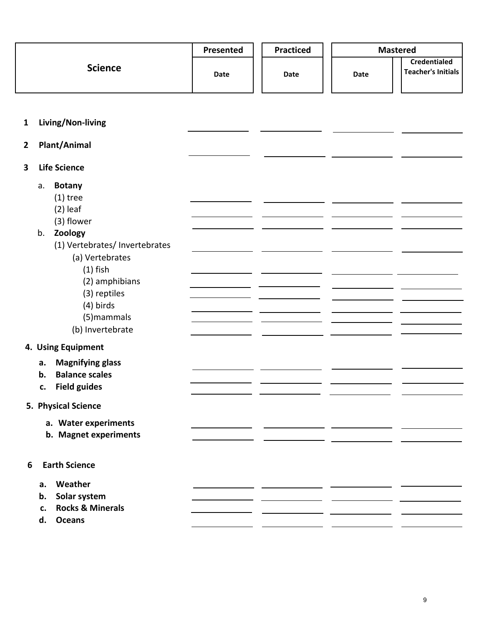|                |                                                                                                                                                                                                                                       | Presented   | <b>Practiced</b> | <b>Mastered</b> |                                           |
|----------------|---------------------------------------------------------------------------------------------------------------------------------------------------------------------------------------------------------------------------------------|-------------|------------------|-----------------|-------------------------------------------|
|                | <b>Science</b>                                                                                                                                                                                                                        | <b>Date</b> | Date             | <b>Date</b>     | Credentialed<br><b>Teacher's Initials</b> |
| $\mathbf{1}$   | Living/Non-living                                                                                                                                                                                                                     |             |                  |                 |                                           |
| $\overline{2}$ | <b>Plant/Animal</b>                                                                                                                                                                                                                   |             |                  |                 |                                           |
| 3              | <b>Life Science</b>                                                                                                                                                                                                                   |             |                  |                 |                                           |
|                | <b>Botany</b><br>a.<br>$(1)$ tree<br>$(2)$ leaf<br>(3) flower<br>Zoology<br>b.<br>(1) Vertebrates/ Invertebrates<br>(a) Vertebrates<br>$(1)$ fish<br>(2) amphibians<br>(3) reptiles<br>$(4)$ birds<br>(5) mammals<br>(b) Invertebrate |             |                  |                 |                                           |
|                | 4. Using Equipment                                                                                                                                                                                                                    |             |                  |                 |                                           |
|                | <b>Magnifying glass</b><br>а.<br><b>Balance scales</b><br>b.<br><b>Field guides</b><br>c.                                                                                                                                             |             |                  |                 |                                           |
|                | 5. Physical Science<br>a. Water experiments<br>b. Magnet experiments                                                                                                                                                                  |             |                  |                 |                                           |
| 6              | <b>Earth Science</b>                                                                                                                                                                                                                  |             |                  |                 |                                           |
|                | Weather<br>а.<br>Solar system<br>b.<br><b>Rocks &amp; Minerals</b><br>c.<br><b>Oceans</b><br>d.                                                                                                                                       |             |                  |                 |                                           |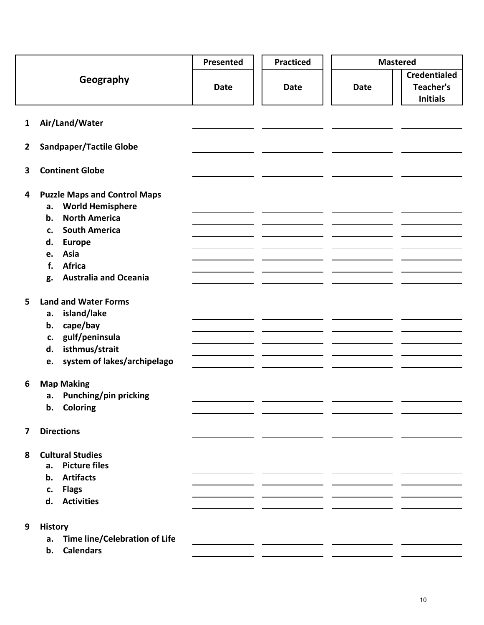|                |                                                                                                                                                                                                                                    | Presented   | <b>Practiced</b> | <b>Mastered</b> |                                                            |
|----------------|------------------------------------------------------------------------------------------------------------------------------------------------------------------------------------------------------------------------------------|-------------|------------------|-----------------|------------------------------------------------------------|
|                | Geography                                                                                                                                                                                                                          | <b>Date</b> | <b>Date</b>      | <b>Date</b>     | <b>Credentialed</b><br><b>Teacher's</b><br><b>Initials</b> |
| $\mathbf{1}$   | Air/Land/Water                                                                                                                                                                                                                     |             |                  |                 |                                                            |
| $\overline{2}$ | <b>Sandpaper/Tactile Globe</b>                                                                                                                                                                                                     |             |                  |                 |                                                            |
| 3              | <b>Continent Globe</b>                                                                                                                                                                                                             |             |                  |                 |                                                            |
| 4              | <b>Puzzle Maps and Control Maps</b><br><b>World Hemisphere</b><br>а.<br><b>North America</b><br>b.<br><b>South America</b><br>c.<br><b>Europe</b><br>d.<br>Asia<br>e.<br><b>Africa</b><br>f.<br><b>Australia and Oceania</b><br>g. |             |                  |                 |                                                            |
| 5              | <b>Land and Water Forms</b><br>island/lake<br>a.<br>cape/bay<br>b.<br>gulf/peninsula<br>c.<br>isthmus/strait<br>d.<br>system of lakes/archipelago<br>e.                                                                            |             |                  |                 |                                                            |
| 6              | <b>Map Making</b><br>Punching/pin pricking<br>а.<br>b. Coloring                                                                                                                                                                    |             |                  |                 |                                                            |
| 7              | <b>Directions</b>                                                                                                                                                                                                                  |             |                  |                 |                                                            |
| 8              | <b>Cultural Studies</b><br>a. Picture files<br><b>Artifacts</b><br>b.<br>c. Flags<br>d. Activities                                                                                                                                 |             |                  |                 |                                                            |
| 9              | <b>History</b><br>a. Time line/Celebration of Life<br>b. Calendars                                                                                                                                                                 |             |                  |                 |                                                            |